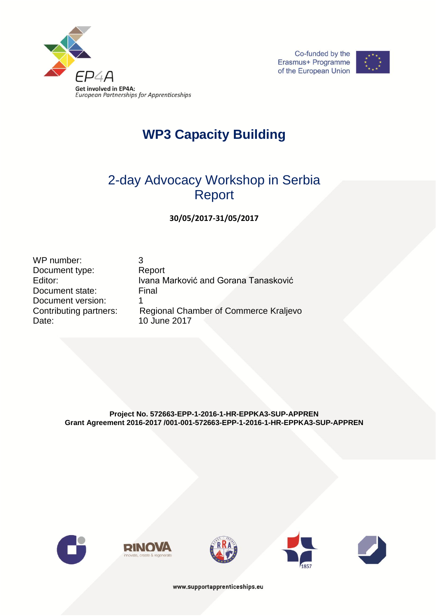





## **WP3 Capacity Building**

## 2-day Advocacy Workshop in Serbia Report

**30/05/2017-31/05/2017**

WP number: 3 Document type: Report Document state: Final Document version: 1 Date: 10 June 2017

Editor: **Ivana Marković and Gorana Tanasković** Contributing partners: Regional Chamber of Commerce Kraljevo

> **Project No. 572663-EPP-1-2016-1-HR-EPPKA3-SUP-APPREN Grant Agreement 2016-2017 /001-001-572663-EPP-1-2016-1-HR-EPPKA3-SUP-APPREN**











www.supportapprenticeships.eu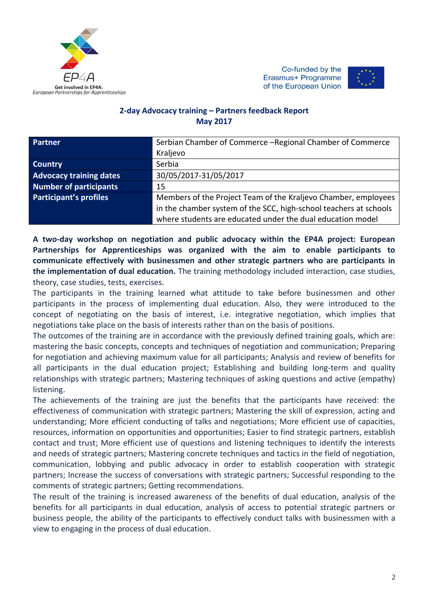

Co-funded by the Erasmus+ Programme of the European Union



## **2-day Advocacy training – Partners feedback Report May 2017**

| <b>Partner</b>                 | Serbian Chamber of Commerce - Regional Chamber of Commerce<br>Kraljevo |
|--------------------------------|------------------------------------------------------------------------|
|                                |                                                                        |
| <b>Country</b>                 | Serbia                                                                 |
| <b>Advocacy training dates</b> | 30/05/2017-31/05/2017                                                  |
| <b>Number of participants</b>  | 15                                                                     |
| <b>Participant's profiles</b>  | Members of the Project Team of the Kraljevo Chamber, employees         |
|                                | in the chamber system of the SCC, high-school teachers at schools      |
|                                | where students are educated under the dual education model             |

**A two-day workshop on negotiation and public advocacy within the EP4A project: European Partnerships for Apprenticeships was organized with the aim to enable participants to communicate effectively with businessmen and other strategic partners who are participants in the implementation of dual education.** The training methodology included interaction, case studies, theory, case studies, tests, exercises.

The participants in the training learned what attitude to take before businessmen and other participants in the process of implementing dual education. Also, they were introduced to the concept of negotiating on the basis of interest, i.e. integrative negotiation, which implies that negotiations take place on the basis of interests rather than on the basis of positions.

The outcomes of the training are in accordance with the previously defined training goals, which are: mastering the basic concepts, concepts and techniques of negotiation and communication; Preparing for negotiation and achieving maximum value for all participants; Analysis and review of benefits for all participants in the dual education project; Establishing and building long-term and quality relationships with strategic partners; Mastering techniques of asking questions and active (empathy) listening.

The achievements of the training are just the benefits that the participants have received: the effectiveness of communication with strategic partners; Mastering the skill of expression, acting and understanding; More efficient conducting of talks and negotiations; More efficient use of capacities, resources, information on opportunities and opportunities; Easier to find strategic partners, establish contact and trust; More efficient use of questions and listening techniques to identify the interests and needs of strategic partners; Mastering concrete techniques and tactics in the field of negotiation, communication, lobbying and public advocacy in order to establish cooperation with strategic partners; Increase the success of conversations with strategic partners; Successful responding to the comments of strategic partners; Getting recommendations.

The result of the training is increased awareness of the benefits of dual education, analysis of the benefits for all participants in dual education, analysis of access to potential strategic partners or business people, the ability of the participants to effectively conduct talks with businessmen with a view to engaging in the process of dual education.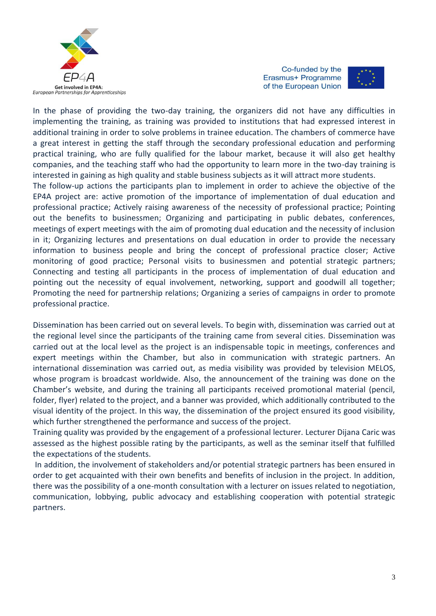

Co-funded by the Erasmus+ Programme of the European Union



In the phase of providing the two-day training, the organizers did not have any difficulties in implementing the training, as training was provided to institutions that had expressed interest in additional training in order to solve problems in trainee education. The chambers of commerce have a great interest in getting the staff through the secondary professional education and performing practical training, who are fully qualified for the labour market, because it will also get healthy companies, and the teaching staff who had the opportunity to learn more in the two-day training is interested in gaining as high quality and stable business subjects as it will attract more students.

The follow-up actions the participants plan to implement in order to achieve the objective of the EP4A project are: active promotion of the importance of implementation of dual education and professional practice; Actively raising awareness of the necessity of professional practice; Pointing out the benefits to businessmen; Organizing and participating in public debates, conferences, meetings of expert meetings with the aim of promoting dual education and the necessity of inclusion in it; Organizing lectures and presentations on dual education in order to provide the necessary information to business people and bring the concept of professional practice closer; Active monitoring of good practice; Personal visits to businessmen and potential strategic partners; Connecting and testing all participants in the process of implementation of dual education and pointing out the necessity of equal involvement, networking, support and goodwill all together; Promoting the need for partnership relations; Organizing a series of campaigns in order to promote professional practice.

Dissemination has been carried out on several levels. To begin with, dissemination was carried out at the regional level since the participants of the training came from several cities. Dissemination was carried out at the local level as the project is an indispensable topic in meetings, conferences and expert meetings within the Chamber, but also in communication with strategic partners. An international dissemination was carried out, as media visibility was provided by television MELOS, whose program is broadcast worldwide. Also, the announcement of the training was done on the Chamber's website, and during the training all participants received promotional material (pencil, folder, flyer) related to the project, and a banner was provided, which additionally contributed to the visual identity of the project. In this way, the dissemination of the project ensured its good visibility, which further strengthened the performance and success of the project.

Training quality was provided by the engagement of a professional lecturer. Lecturer Dijana Caric was assessed as the highest possible rating by the participants, as well as the seminar itself that fulfilled the expectations of the students.

In addition, the involvement of stakeholders and/or potential strategic partners has been ensured in order to get acquainted with their own benefits and benefits of inclusion in the project. In addition, there was the possibility of a one-month consultation with a lecturer on issues related to negotiation, communication, lobbying, public advocacy and establishing cooperation with potential strategic partners.